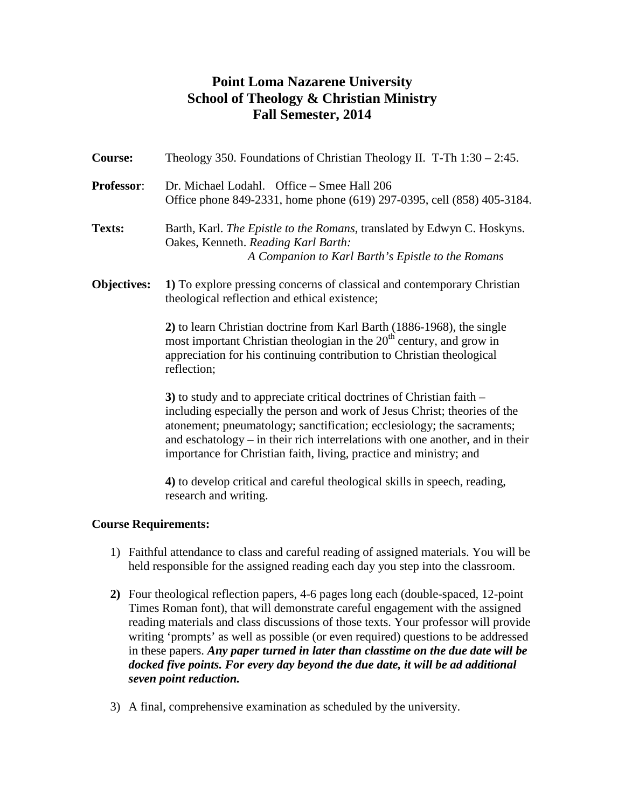# **Point Loma Nazarene University School of Theology & Christian Ministry Fall Semester, 2014**

| <b>Course:</b>              | Theology 350. Foundations of Christian Theology II. T-Th $1:30 - 2:45$ .                                                                                                                                                                                                                                                                                                            |  |  |  |  |
|-----------------------------|-------------------------------------------------------------------------------------------------------------------------------------------------------------------------------------------------------------------------------------------------------------------------------------------------------------------------------------------------------------------------------------|--|--|--|--|
| <b>Professor:</b>           | Dr. Michael Lodahl. Office - Smee Hall 206<br>Office phone 849-2331, home phone (619) 297-0395, cell (858) 405-3184.                                                                                                                                                                                                                                                                |  |  |  |  |
| Texts:                      | Barth, Karl. The Epistle to the Romans, translated by Edwyn C. Hoskyns.<br>Oakes, Kenneth. Reading Karl Barth:<br>A Companion to Karl Barth's Epistle to the Romans                                                                                                                                                                                                                 |  |  |  |  |
| <b>Objectives:</b>          | 1) To explore pressing concerns of classical and contemporary Christian<br>theological reflection and ethical existence;                                                                                                                                                                                                                                                            |  |  |  |  |
|                             | 2) to learn Christian doctrine from Karl Barth (1886-1968), the single<br>most important Christian theologian in the $20th$ century, and grow in<br>appreciation for his continuing contribution to Christian theological<br>reflection;                                                                                                                                            |  |  |  |  |
|                             | 3) to study and to appreciate critical doctrines of Christian faith –<br>including especially the person and work of Jesus Christ; theories of the<br>atonement; pneumatology; sanctification; ecclesiology; the sacraments;<br>and eschatology - in their rich interrelations with one another, and in their<br>importance for Christian faith, living, practice and ministry; and |  |  |  |  |
|                             | 4) to develop critical and careful theological skills in speech, reading,<br>research and writing.                                                                                                                                                                                                                                                                                  |  |  |  |  |
| <b>Course Requirements:</b> |                                                                                                                                                                                                                                                                                                                                                                                     |  |  |  |  |
|                             | 1) Eqithful attendance to class and careful reading of assigned materials Vou will be                                                                                                                                                                                                                                                                                               |  |  |  |  |

- 1) Faithful attendance to class and careful reading of assigned materials. You will be held responsible for the assigned reading each day you step into the classroom.
- **2)** Four theological reflection papers, 4-6 pages long each (double-spaced, 12-point Times Roman font), that will demonstrate careful engagement with the assigned reading materials and class discussions of those texts. Your professor will provide writing 'prompts' as well as possible (or even required) questions to be addressed in these papers. *Any paper turned in later than classtime on the due date will be docked five points. For every day beyond the due date, it will be ad additional seven point reduction.*
- 3) A final, comprehensive examination as scheduled by the university.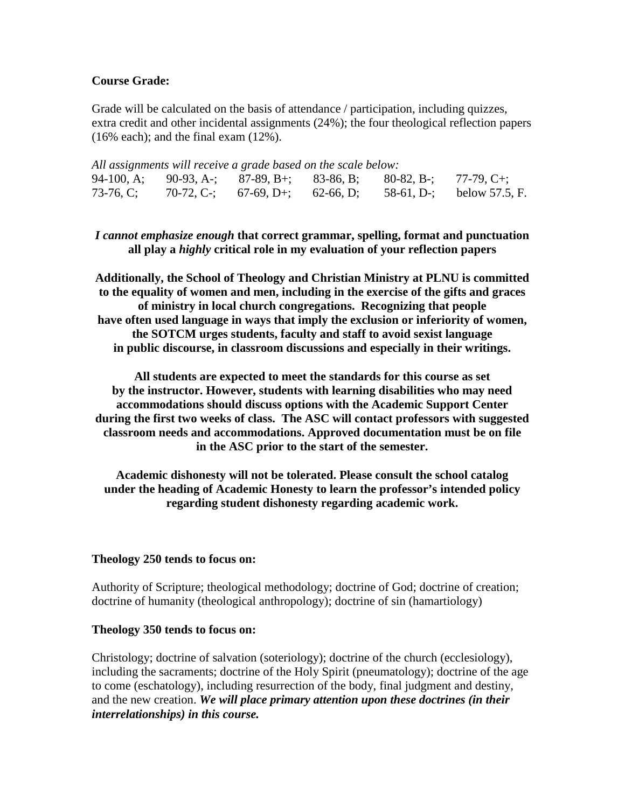# **Course Grade:**

Grade will be calculated on the basis of attendance / participation, including quizzes, extra credit and other incidental assignments (24%); the four theological reflection papers  $(16\%$  each); and the final exam  $(12\%)$ .

|  | All assignments will receive a grade based on the scale below:   |  |                                                                     |
|--|------------------------------------------------------------------|--|---------------------------------------------------------------------|
|  | 94-100, A; 90-93, A-; 87-89, B+; 83-86, B; 80-82, B-; 77-79, C+; |  |                                                                     |
|  |                                                                  |  | 73-76, C; 70-72, C-; 67-69, D+; 62-66, D; 58-61, D-; below 57.5, F. |

*I cannot emphasize enough* **that correct grammar, spelling, format and punctuation all play a** *highly* **critical role in my evaluation of your reflection papers**

**Additionally, the School of Theology and Christian Ministry at PLNU is committed to the equality of women and men, including in the exercise of the gifts and graces of ministry in local church congregations. Recognizing that people have often used language in ways that imply the exclusion or inferiority of women, the SOTCM urges students, faculty and staff to avoid sexist language in public discourse, in classroom discussions and especially in their writings.**

**All students are expected to meet the standards for this course as set by the instructor. However, students with learning disabilities who may need accommodations should discuss options with the Academic Support Center during the first two weeks of class. The ASC will contact professors with suggested classroom needs and accommodations. Approved documentation must be on file in the ASC prior to the start of the semester.**

**Academic dishonesty will not be tolerated. Please consult the school catalog under the heading of Academic Honesty to learn the professor's intended policy regarding student dishonesty regarding academic work.**

#### **Theology 250 tends to focus on:**

Authority of Scripture; theological methodology; doctrine of God; doctrine of creation; doctrine of humanity (theological anthropology); doctrine of sin (hamartiology)

#### **Theology 350 tends to focus on:**

Christology; doctrine of salvation (soteriology); doctrine of the church (ecclesiology), including the sacraments; doctrine of the Holy Spirit (pneumatology); doctrine of the age to come (eschatology), including resurrection of the body, final judgment and destiny, and the new creation. *We will place primary attention upon these doctrines (in their interrelationships) in this course.*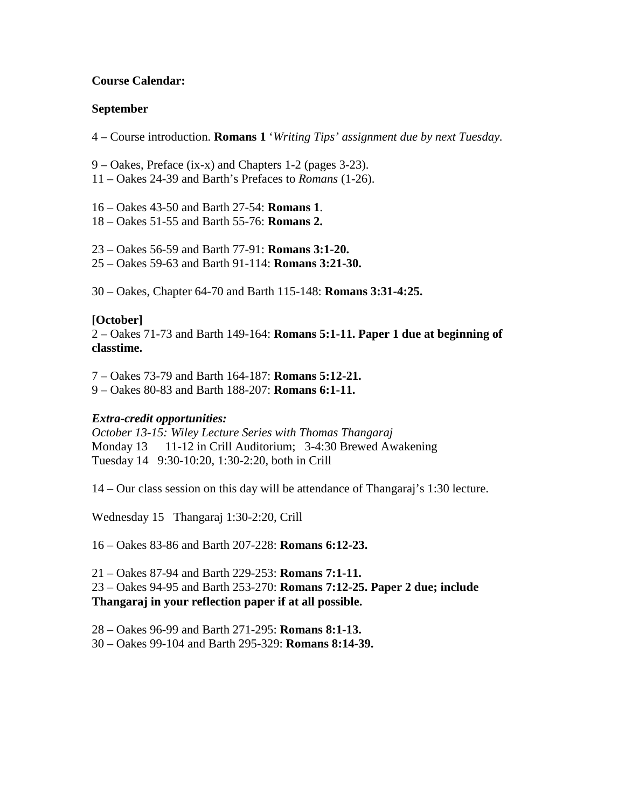# **Course Calendar:**

# **September**

4 – Course introduction. **Romans 1** '*Writing Tips' assignment due by next Tuesday.*

9 – Oakes, Preface (ix-x) and Chapters 1-2 (pages 3-23).

11 – Oakes 24-39 and Barth's Prefaces to *Romans* (1-26).

16 – Oakes 43-50 and Barth 27-54: **Romans 1**.

18 – Oakes 51-55 and Barth 55-76: **Romans 2.**

23 – Oakes 56-59 and Barth 77-91: **Romans 3:1-20.**

25 – Oakes 59-63 and Barth 91-114: **Romans 3:21-30.**

30 – Oakes, Chapter 64-70 and Barth 115-148: **Romans 3:31-4:25.**

# **[October]**

2 – Oakes 71-73 and Barth 149-164: **Romans 5:1-11. Paper 1 due at beginning of classtime.**

7 – Oakes 73-79 and Barth 164-187: **Romans 5:12-21.**

9 – Oakes 80-83 and Barth 188-207: **Romans 6:1-11.**

# *Extra-credit opportunities:*

*October 13-15: Wiley Lecture Series with Thomas Thangaraj* Monday 13 11-12 in Crill Auditorium; 3-4:30 Brewed Awakening Tuesday 14 9:30-10:20, 1:30-2:20, both in Crill

14 – Our class session on this day will be attendance of Thangaraj's 1:30 lecture.

Wednesday 15 Thangaraj 1:30-2:20, Crill

16 – Oakes 83-86 and Barth 207-228: **Romans 6:12-23.**

21 – Oakes 87-94 and Barth 229-253: **Romans 7:1-11.**

23 – Oakes 94-95 and Barth 253-270: **Romans 7:12-25. Paper 2 due; include Thangaraj in your reflection paper if at all possible.**

28 – Oakes 96-99 and Barth 271-295: **Romans 8:1-13.**

30 – Oakes 99-104 and Barth 295-329: **Romans 8:14-39.**